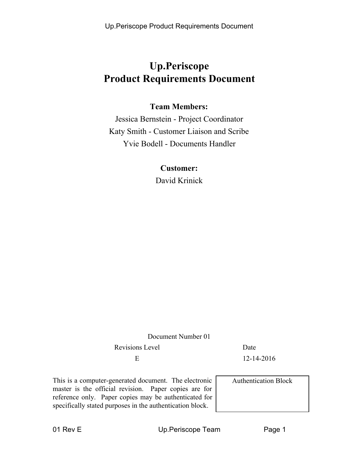Up.Periscope Product Requirements Document

# **Up.Periscope Product Requirements Document**

### **Team Members:**

Jessica Bernstein - Project Coordinator Katy Smith - Customer Liaison and Scribe Yvie Bodell - Documents Handler

### **Customer:**

David Krinick

Document Number 01

Revisions Level Date

E 12-14-2016

This is a computer-generated document. The electronic master is the official revision. Paper copies are for reference only. Paper copies may be authenticated for specifically stated purposes in the authentication block.

Authentication Block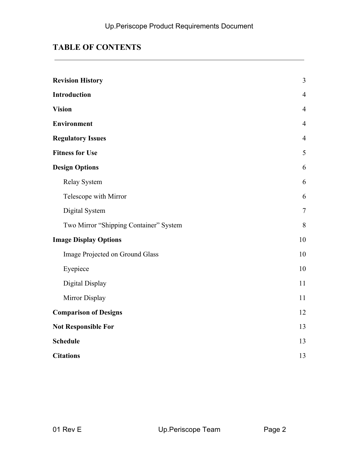## **TABLE OF CONTENTS**

| <b>Revision History</b>                | $\overline{3}$ |  |
|----------------------------------------|----------------|--|
| Introduction                           | $\overline{4}$ |  |
| <b>Vision</b>                          | $\overline{4}$ |  |
| <b>Environment</b>                     | $\overline{4}$ |  |
| <b>Regulatory Issues</b>               | $\overline{4}$ |  |
| <b>Fitness for Use</b>                 | $\mathfrak{S}$ |  |
| <b>Design Options</b>                  | 6              |  |
| Relay System                           | 6              |  |
| Telescope with Mirror                  | 6              |  |
| Digital System                         | $\tau$         |  |
| Two Mirror "Shipping Container" System | 8              |  |
| <b>Image Display Options</b>           | 10             |  |
| Image Projected on Ground Glass        | 10             |  |
| Eyepiece                               | 10             |  |
| Digital Display                        | 11             |  |
| Mirror Display                         | 11             |  |
| <b>Comparison of Designs</b>           | 12             |  |
| <b>Not Responsible For</b>             | 13             |  |
| <b>Schedule</b>                        | 13             |  |
| <b>Citations</b>                       |                |  |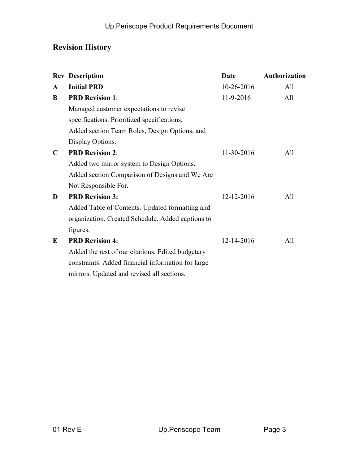## **Revision History**

|              | <b>Rev Description</b>                             | Date       | Authorization |
|--------------|----------------------------------------------------|------------|---------------|
| $\mathbf{A}$ | <b>Initial PRD</b>                                 | 10-26-2016 | A11           |
| B            | <b>PRD Revision 1:</b>                             | 11-9-2016  | A11           |
|              | Managed customer expectations to revise            |            |               |
|              | specifications. Prioritized specifications.        |            |               |
|              | Added section Team Roles, Design Options, and      |            |               |
|              | Display Options.                                   |            |               |
| $\mathbf C$  | <b>PRD Revision 2:</b>                             | 11-30-2016 | All           |
|              | Added two mirror system to Design Options.         |            |               |
|              | Added section Comparison of Designs and We Are     |            |               |
|              | Not Responsible For.                               |            |               |
| D            | <b>PRD Revision 3:</b>                             | 12-12-2016 | All           |
|              | Added Table of Contents. Updated formatting and    |            |               |
|              | organization. Created Schedule. Added captions to  |            |               |
|              | figures.                                           |            |               |
| E            | <b>PRD Revision 4:</b>                             | 12-14-2016 | All           |
|              | Added the rest of our citations. Edited budgetary  |            |               |
|              | constraints. Added financial information for large |            |               |
|              | mirrors. Updated and revised all sections.         |            |               |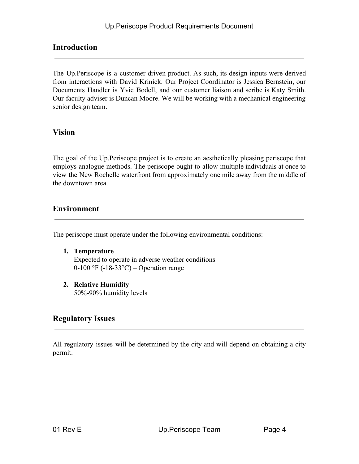### **Introduction**

The Up.Periscope is a customer driven product. As such, its design inputs were derived from interactions with David Krinick. Our Project Coordinator is Jessica Bernstein, our Documents Handler is Yvie Bodell, and our customer liaison and scribe is Katy Smith. Our faculty adviser is Duncan Moore. We will be working with a mechanical engineering senior design team.

### <span id="page-3-0"></span>**Vision**

The goal of the Up.Periscope project is to create an aesthetically pleasing periscope that employs analogue methods. The periscope ought to allow multiple individuals at once to view the New Rochelle waterfront from approximately one mile away from the middle of the downtown area.

### <span id="page-3-1"></span>**Environment**

The periscope must operate under the following environmental conditions:

- **1. Temperature** Expected to operate in adverse weather conditions 0-100 °F (-18-33°C) – Operation range
- **2. Relative Humidity** 50%-90% humidity levels

### <span id="page-3-2"></span>**Regulatory Issues**

All regulatory issues will be determined by the city and will depend on obtaining a city permit.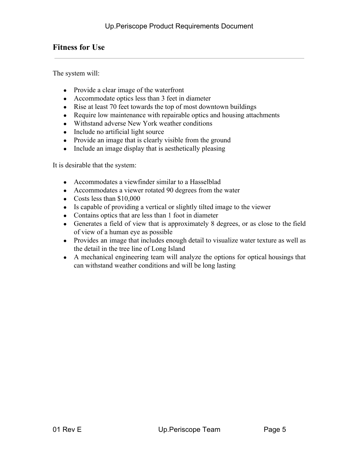### <span id="page-4-0"></span>**Fitness for Use**

The system will:

- Provide a clear image of the waterfront
- Accommodate optics less than 3 feet in diameter
- Rise at least 70 feet towards the top of most downtown buildings
- Require low maintenance with repairable optics and housing attachments
- Withstand adverse New York weather conditions
- Include no artificial light source
- Provide an image that is clearly visible from the ground
- Include an image display that is aesthetically pleasing

It is desirable that the system:

- Accommodates a viewfinder similar to a Hasselblad
- Accommodates a viewer rotated 90 degrees from the water
- Costs less than  $$10,000$
- Is capable of providing a vertical or slightly tilted image to the viewer
- Contains optics that are less than 1 foot in diameter
- Generates a field of view that is approximately 8 degrees, or as close to the field of view of a human eye as possible
- Provides an image that includes enough detail to visualize water texture as well as the detail in the tree line of Long Island
- A mechanical engineering team will analyze the options for optical housings that can withstand weather conditions and will be long lasting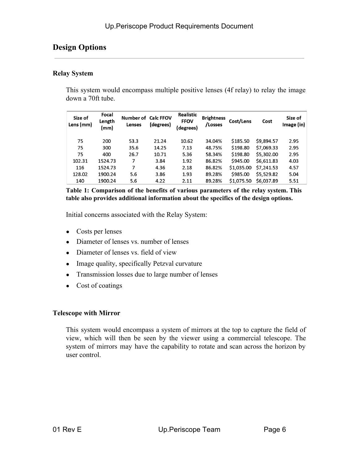### **Design Options**

#### **Relay System**

This system would encompass multiple positive lenses (4f relay) to relay the image down a 70ft tube.

| Size of<br>Lens (mm) | Focal<br>Length<br>(mm) | Number of Calc FFOV<br>Lenses | (degrees) | <b>Realistic</b><br><b>FFOV</b><br>degrees) | <b>Brightness</b><br>/Losses | Cost/Lens  | Cost       | Size of<br>Image (in) |
|----------------------|-------------------------|-------------------------------|-----------|---------------------------------------------|------------------------------|------------|------------|-----------------------|
| 75                   | 200                     | 53.3                          | 21.24     | 10.62                                       | 34.04%                       | \$185.50   | \$9,894.57 | 2.95                  |
| 75                   | 300                     | 35.6                          | 14.25     | 7.13                                        | 48.75%                       | \$198.80   | \$7,069.33 | 2.95                  |
| 75                   | 400                     | 26.7                          | 10.71     | 5.36                                        | 58.34%                       | \$198.80   | \$5,302.00 | 2.95                  |
| 102.31               | 1524.73                 | 7                             | 3.84      | 1.92                                        | 86.82%                       | \$945.00   | \$6,611.83 | 4.03                  |
| 116                  | 1524.73                 | 7                             | 4.36      | 2.18                                        | 86.82%                       | \$1,035.00 | \$7,241.53 | 4.57                  |
| 128.02               | 1900.24                 | 5.6                           | 3.86      | 1.93                                        | 89.28%                       | \$985.00   | \$5,529.82 | 5.04                  |
| 140                  | 1900.24                 | 5.6                           | 4.22      | 2.11                                        | 89.28%                       | \$1,075.50 | \$6,037.89 | 5.51                  |

**Table 1: Comparison of the benefits of various parameters of the relay system. This table also provides additional information about the specifics of the design options.**

Initial concerns associated with the Relay System:

- **●** Costs per lenses
- Diameter of lenses vs. number of lenses
- Diameter of lenses vs. field of view
- Image quality, specifically Petzval curvature
- Transmission losses due to large number of lenses
- Cost of coatings

#### **Telescope with Mirror**

This system would encompass a system of mirrors at the top to capture the field of view, which will then be seen by the viewer using a commercial telescope. The system of mirrors may have the capability to rotate and scan across the horizon by user control.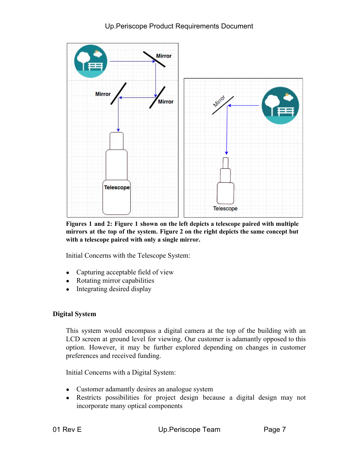

**Figures 1 and 2: Figure 1 shown on the left depicts a telescope paired with multiple mirrors at the top of the system. Figure 2 on the right depicts the same concept but with a telescope paired with only a single mirror.**

Initial Concerns with the Telescope System:

- Capturing acceptable field of view
- Rotating mirror capabilities
- Integrating desired display

#### **Digital System**

This system would encompass a digital camera at the top of the building with an LCD screen at ground level for viewing. Our customer is adamantly opposed to this option. However, it may be further explored depending on changes in customer preferences and received funding.

Initial Concerns with a Digital System:

- Customer adamantly desires an analogue system
- Restricts possibilities for project design because a digital design may not incorporate many optical components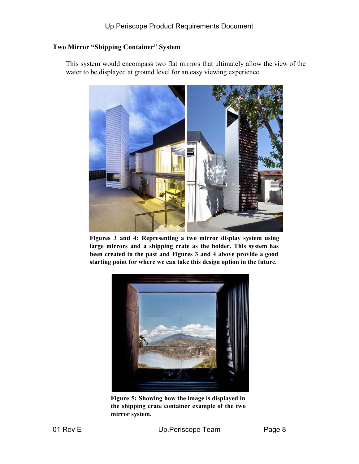### **Two Mirror "Shipping Container" System**

This system would encompass two flat mirrors that ultimately allow the view of the water to be displayed at ground level for an easy viewing experience.



**Figures 3 and 4: Representing a two mirror display system using large mirrors and a shipping crate as the holder. This system has been created in the past and Figures 3 and 4 above provide a good starting point for where we can take this design option in the future.**



**Figure 5: Showing how the image is displayed in the shipping crate container example of the two mirror system.**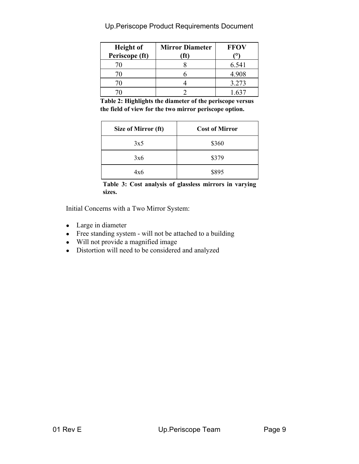| <b>Height of</b><br>Periscope (ft) | <b>Mirror Diameter</b> | <b>FFOV</b> |
|------------------------------------|------------------------|-------------|
|                                    |                        | 6.541       |
|                                    |                        | 4.908       |
|                                    |                        | 3.273       |
|                                    |                        |             |

Up.Periscope Product Requirements Document

**Table 2: Highlights the diameter of the periscope versus the field of view for the two mirror periscope option.**

| Size of Mirror (ft) | <b>Cost of Mirror</b> |
|---------------------|-----------------------|
| 3x5                 | \$360                 |
| 3x6                 | \$379                 |
| 4x6                 | \$895                 |

**Table 3: Cost analysis of glassless mirrors in varying sizes.**

Initial Concerns with a Two Mirror System:

- Large in diameter
- Free standing system will not be attached to a building
- Will not provide a magnified image
- Distortion will need to be considered and analyzed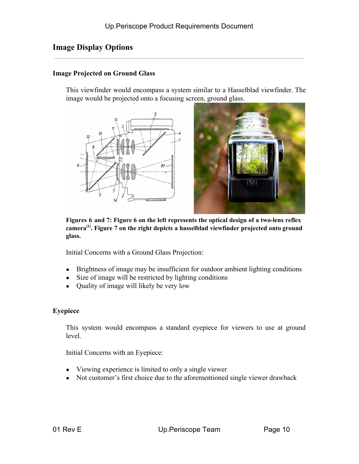### **Image Display Options**

#### **Image Projected on Ground Glass**

This viewfinder would encompass a system similar to a Hasselblad viewfinder. The image would be projected onto a focusing screen, ground glass.



**Figures 6 and 7: Figure 6 on the left represents the optical design of a two-lens reflex camera [1] . Figure 7 on the right depicts a hasselblad viewfinder projected onto ground glass.**

Initial Concerns with a Ground Glass Projection:

- Brightness of image may be insufficient for outdoor ambient lighting conditions
- Size of image will be restricted by lighting conditions
- Quality of image will likely be very low

#### **Eyepiece**

This system would encompass a standard eyepiece for viewers to use at ground level.

Initial Concerns with an Eyepiece:

- Viewing experience is limited to only a single viewer
- Not customer's first choice due to the aforementioned single viewer drawback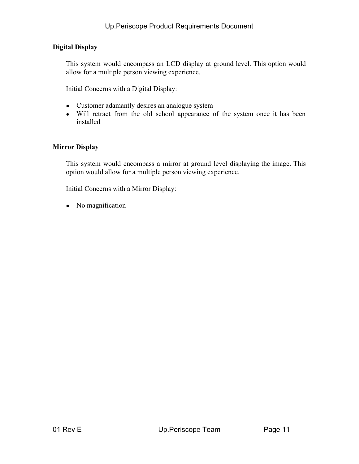### **Digital Display**

This system would encompass an LCD display at ground level. This option would allow for a multiple person viewing experience.

Initial Concerns with a Digital Display:

- Customer adamantly desires an analogue system
- Will retract from the old school appearance of the system once it has been installed

#### **Mirror Display**

This system would encompass a mirror at ground level displaying the image. This option would allow for a multiple person viewing experience.

Initial Concerns with a Mirror Display:

• No magnification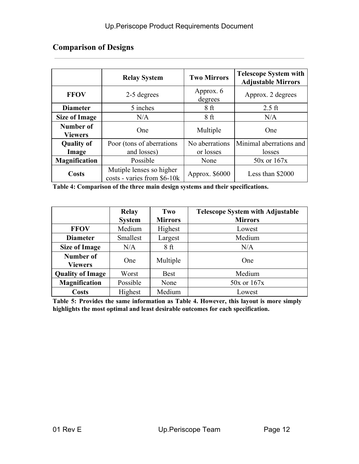## **Comparison of Designs**

|                                                                         | <b>Relay System</b>       | <b>Two Mirrors</b>   | <b>Telescope System with</b><br><b>Adjustable Mirrors</b> |  |
|-------------------------------------------------------------------------|---------------------------|----------------------|-----------------------------------------------------------|--|
| <b>FFOV</b>                                                             | 2-5 degrees               | Approx. 6<br>degrees | Approx. 2 degrees                                         |  |
| <b>Diameter</b>                                                         | 5 inches                  | 8 <sub>ft</sub>      | $2.5$ ft                                                  |  |
| <b>Size of Image</b>                                                    | N/A                       | 8ft                  | N/A                                                       |  |
| Number of<br><b>Viewers</b>                                             | <b>One</b>                | Multiple             | One                                                       |  |
| <b>Quality of</b>                                                       | Poor (tons of aberrations | No aberrations       | Minimal aberrations and                                   |  |
| Image                                                                   | and losses)               | or losses            | losses                                                    |  |
| <b>Magnification</b>                                                    | Possible                  |                      | $50x$ or $167x$                                           |  |
| Mutiple lenses so higher<br><b>Costs</b><br>costs - varies from \$6-10k |                           | Approx. \$6000       | Less than \$2000                                          |  |

**Table 4: Comparison of the three main design systems and their specifications.**

|                             | <b>Relay</b><br><b>System</b> | Two<br><b>Mirrors</b> | <b>Telescope System with Adjustable</b><br><b>Mirrors</b> |
|-----------------------------|-------------------------------|-----------------------|-----------------------------------------------------------|
| <b>FFOV</b>                 | Medium                        | Highest               | Lowest                                                    |
| <b>Diameter</b>             | Smallest                      | Largest               | Medium                                                    |
| <b>Size of Image</b>        | N/A                           | 8 ft                  | N/A                                                       |
| Number of<br><b>Viewers</b> | One                           | Multiple              | One                                                       |
| <b>Quality of Image</b>     | Worst                         | <b>Best</b>           | Medium                                                    |
| <b>Magnification</b>        | Possible                      | None                  | $50x$ or $167x$                                           |
| <b>Costs</b>                | Highest                       | Medium                | Lowest                                                    |

**Table 5: Provides the same information as Table 4. However, this layout is more simply highlights the most optimal and least desirable outcomes for each specification.**